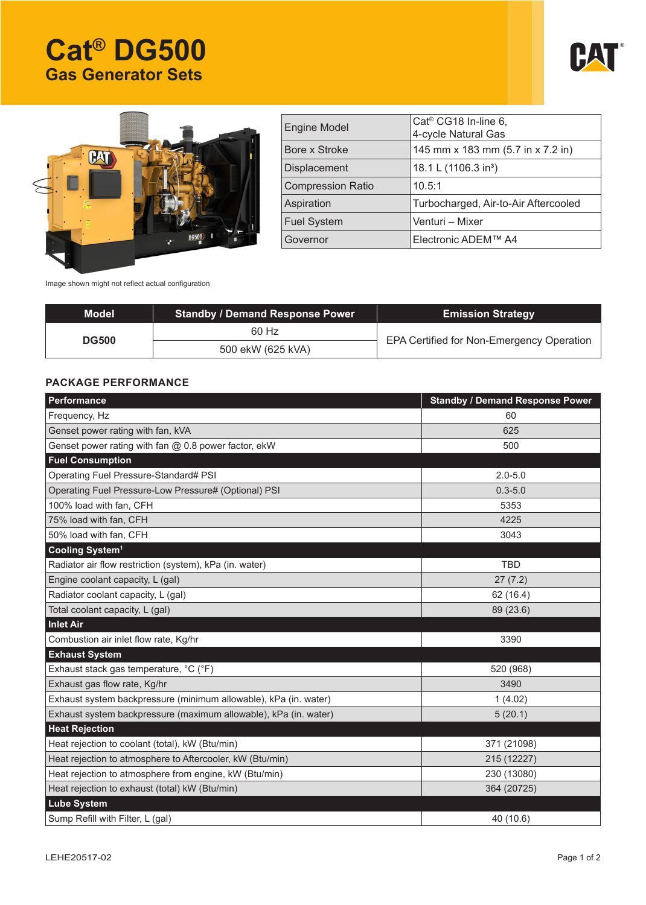# **Cat® DG500 Gas Generator Sets**





| <b>Engine Model</b>      | $Cat® CG18 In-line 6,$<br>4-cycle Natural Gas |
|--------------------------|-----------------------------------------------|
| Bore x Stroke            | 145 mm x 183 mm (5.7 in x 7.2 in)             |
| <b>Displacement</b>      | 18.1 L (1106.3 in <sup>3</sup> )              |
| <b>Compression Ratio</b> | 10.5:1                                        |
| Aspiration               | Turbocharged, Air-to-Air Aftercooled          |
| <b>Fuel System</b>       | Venturi - Mixer                               |
| Governor                 | Electronic ADEM™ A4                           |
|                          |                                               |

Image shown might not reflect actual configuration

| <b>Model</b> | <b>Standby / Demand Response Power</b> | <b>Emission Strategy</b>                  |  |
|--------------|----------------------------------------|-------------------------------------------|--|
| <b>DG500</b> | 60 Hz                                  | EPA Certified for Non-Emergency Operation |  |
|              | 500 ekW (625 kVA)                      |                                           |  |

# **PACKAGE PERFORMANCE**

| Performance                                                      | <b>Standby / Demand Response Power</b> |  |  |  |
|------------------------------------------------------------------|----------------------------------------|--|--|--|
| Frequency, Hz                                                    | 60                                     |  |  |  |
| Genset power rating with fan, kVA                                | 625                                    |  |  |  |
| Genset power rating with fan @ 0.8 power factor, ekW             | 500                                    |  |  |  |
| <b>Fuel Consumption</b>                                          |                                        |  |  |  |
| Operating Fuel Pressure-Standard# PSI                            | $2.0 - 5.0$                            |  |  |  |
| Operating Fuel Pressure-Low Pressure# (Optional) PSI             | $0.3 - 5.0$                            |  |  |  |
| 100% load with fan, CFH                                          | 5353                                   |  |  |  |
| 75% load with fan, CFH                                           | 4225                                   |  |  |  |
| 50% load with fan, CFH                                           | 3043                                   |  |  |  |
| Cooling System <sup>1</sup>                                      |                                        |  |  |  |
| Radiator air flow restriction (system), kPa (in. water)          | <b>TBD</b>                             |  |  |  |
| Engine coolant capacity, L (gal)                                 | 27(7.2)                                |  |  |  |
| Radiator coolant capacity, L (gal)                               | 62 (16.4)                              |  |  |  |
| Total coolant capacity, L (gal)                                  | 89 (23.6)                              |  |  |  |
| <b>Inlet Air</b>                                                 |                                        |  |  |  |
| Combustion air inlet flow rate, Kg/hr                            | 3390                                   |  |  |  |
| <b>Exhaust System</b>                                            |                                        |  |  |  |
| Exhaust stack gas temperature, °C (°F)                           | 520 (968)                              |  |  |  |
| Exhaust gas flow rate, Kg/hr                                     | 3490                                   |  |  |  |
| Exhaust system backpressure (minimum allowable), kPa (in. water) | 1(4.02)                                |  |  |  |
| Exhaust system backpressure (maximum allowable), kPa (in. water) | 5(20.1)                                |  |  |  |
| <b>Heat Rejection</b>                                            |                                        |  |  |  |
| Heat rejection to coolant (total), kW (Btu/min)                  | 371 (21098)                            |  |  |  |
| Heat rejection to atmosphere to Aftercooler, kW (Btu/min)        | 215 (12227)                            |  |  |  |
| Heat rejection to atmosphere from engine, kW (Btu/min)           | 230 (13080)                            |  |  |  |
| Heat rejection to exhaust (total) kW (Btu/min)                   | 364 (20725)                            |  |  |  |
| <b>Lube System</b>                                               |                                        |  |  |  |
| Sump Refill with Filter, L (gal)                                 | 40 (10.6)                              |  |  |  |